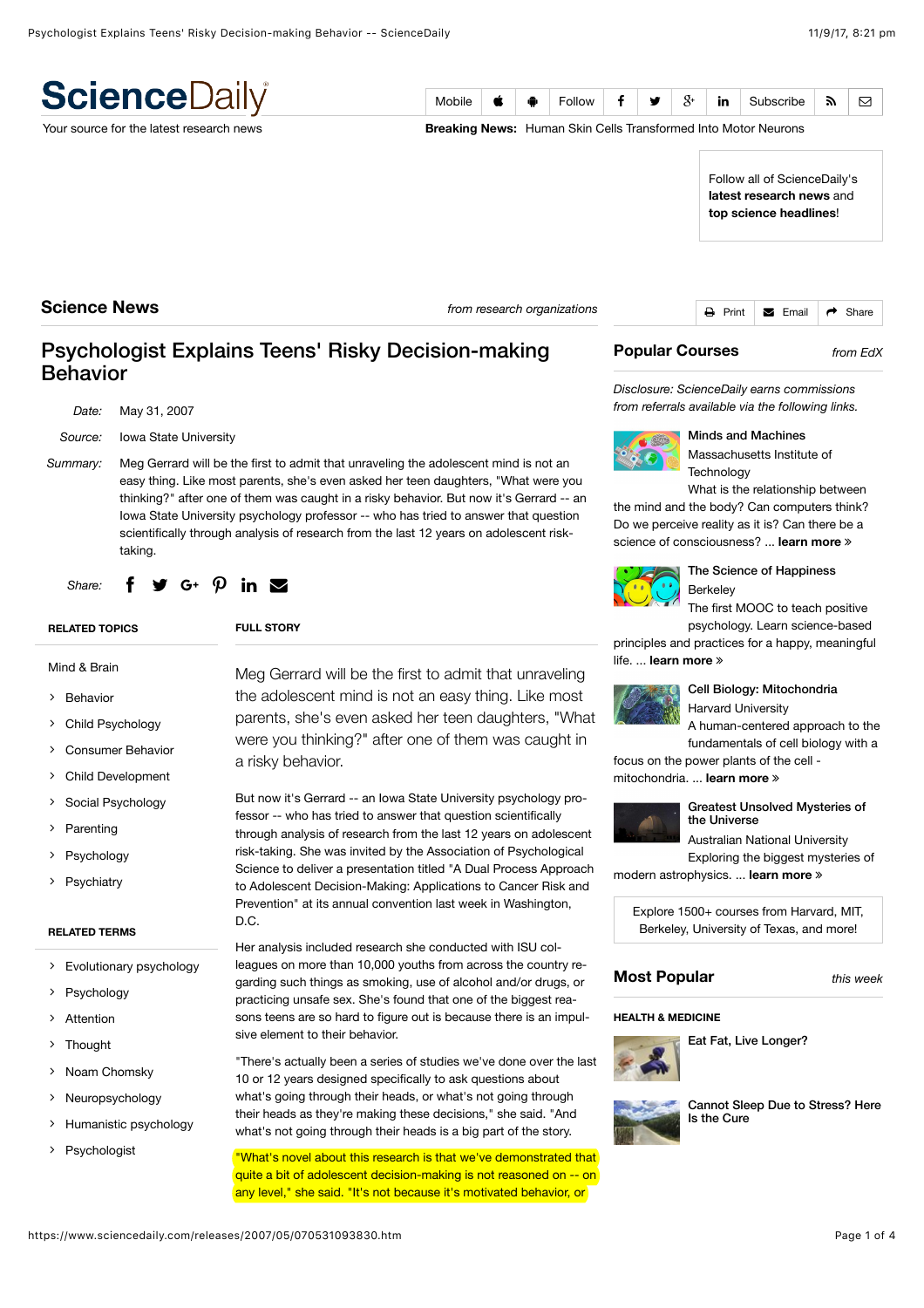| <b>Science</b> Daily                     | Mobile                                                             | Ŕ                                                                                                                                                                                                                                                                                                                                                           | ÷ | Follow |  | ₩ | $\mathcal{S}^*$ | in         | Subscribe                                                             | 51    | 罓 |
|------------------------------------------|--------------------------------------------------------------------|-------------------------------------------------------------------------------------------------------------------------------------------------------------------------------------------------------------------------------------------------------------------------------------------------------------------------------------------------------------|---|--------|--|---|-----------------|------------|-----------------------------------------------------------------------|-------|---|
| Your source for the latest research news |                                                                    |                                                                                                                                                                                                                                                                                                                                                             |   |        |  |   |                 |            | <b>Breaking News:</b> Human Skin Cells Transformed Into Motor Neurons |       |   |
|                                          |                                                                    | Pluto Features Given First Official Names<br>Biologists Slow Aging, Extend LifesplawonlFn&ScienceDaily's<br>latest research news and<br>Eat Fat, Live Longer?<br>Explosive Birth of Stars Swells Galaet science headlines!<br>What's Your Story, Morning Glory?<br>Ship Exhaust Intensifies Oceanic Thunderstorms<br>New Way to Make Dissolving Electronics |   |        |  |   |                 |            |                                                                       |       |   |
| <b>Science News</b>                      | A Metacognitive Illusion in Monkeys<br>from research organizations |                                                                                                                                                                                                                                                                                                                                                             |   |        |  |   | ₿<br>Print      | Email<br>М | $\rightarrow$                                                         | Share |   |

## Psychologist Explains Teens' Risky Decision-making Behavior

| Date:    | May 31, 2007                                                                                                                                                                                                                                                                                                                                                                                                                                                      |
|----------|-------------------------------------------------------------------------------------------------------------------------------------------------------------------------------------------------------------------------------------------------------------------------------------------------------------------------------------------------------------------------------------------------------------------------------------------------------------------|
| Source:  | <b>Iowa State University</b>                                                                                                                                                                                                                                                                                                                                                                                                                                      |
| Summary: | Meg Gerrard will be the first to admit that unraveling the adolescent mind is not an<br>easy thing. Like most parents, she's even asked her teen daughters, "What were you<br>thinking?" after one of them was caught in a risky behavior. But now it's Gerrard -- an<br>lowa State University psychology professor -- who has tried to answer that question<br>scientifically through analysis of research from the last 12 years on adolescent risk-<br>taking. |
|          | Share: $f \circ g \circ f \circ \rho$ in $\blacksquare$                                                                                                                                                                                                                                                                                                                                                                                                           |

**FULL STORY**

# **[RELATED TOPICS](https://www.sciencedaily.com/releases/2007/05/070531093830.htm#)**

### [Mind & Brain](https://www.sciencedaily.com/news/mind_brain/)

- ∠ [Behavior](https://www.sciencedaily.com/news/mind_brain/behavior/)
- ∠ [Child Psychology](https://www.sciencedaily.com/news/mind_brain/child_psychology/)
- ∠ [Consumer Behavior](https://www.sciencedaily.com/news/mind_brain/consumer_behavior/)
- ∠ [Child Development](https://www.sciencedaily.com/news/mind_brain/child_development/)
- ∠ [Social Psychology](https://www.sciencedaily.com/news/mind_brain/social_psychology/)
- ∠ [Parenting](https://www.sciencedaily.com/news/mind_brain/parenting/)
- ∠ [Psychology](https://www.sciencedaily.com/news/mind_brain/psychology/)
- ∠ [Psychiatry](https://www.sciencedaily.com/news/mind_brain/psychiatry/)

#### **[RELATED TERMS](https://www.sciencedaily.com/releases/2007/05/070531093830.htm#)**

- ∠ [Evolutionary psychology](https://www.sciencedaily.com/terms/evolutionary_psychology.htm)
- ∠ [Psychology](https://www.sciencedaily.com/terms/psychology.htm)
- ∠ [Attention](https://www.sciencedaily.com/terms/attention.htm)
- ∠ [Thought](https://www.sciencedaily.com/terms/thought.htm)
- ∠ [Noam Chomsky](https://www.sciencedaily.com/terms/noam_chomsky.htm)
- ∠ [Neuropsychology](https://www.sciencedaily.com/terms/neuropsychology.htm)
- ∠ [Humanistic psychology](https://www.sciencedaily.com/terms/humanistic_psychology.htm)
- ∠ [Psychologist](https://www.sciencedaily.com/terms/psychologist.htm)

Meg Gerrard will be the first to admit that unraveling the adolescent mind is not an easy thing. Like most parents, she's even asked her teen daughters, "What were you thinking?" after one of them was caught in a risky behavior.

But now it's Gerrard -- an Iowa State University psychology pro‐ fessor -- who has tried to answer that question scientifically through analysis of research from the last 12 years on adolescent risk-taking. She was invited by the Association of Psychological Science to deliver a presentation titled "A Dual Process Approach to Adolescent Decision-Making: Applications to Cancer Risk and Prevention" at its annual convention last week in Washington, D.C.

Her analysis included research she conducted with ISU colleagues on more than 10,000 youths from across the country regarding such things as smoking, use of alcohol and/or drugs, or practicing unsafe sex. She's found that one of the biggest reasons teens are so hard to figure out is because there is an impulsive element to their behavior.

"There's actually been a series of studies we've done over the last 10 or 12 years designed specifically to ask questions about what's going through their heads, or what's not going through their heads as they're making these decisions," she said. "And what's not going through their heads is a big part of the story.

"What's novel about this research is that we've demonstrated that quite a bit of adolescent decision-making is not reasoned on -- on any level," she said. "It's not because it's motivated behavior, or

### **Popular Courses** *from [EdX](http://www.awin1.com/awclick.php?gid=295461&mid=6798&awinaffid=407589&linkid=599977&clickref=)*

*Disclosure: ScienceDaily earns commissions from referrals available via the following links.*



Minds and Machines [Massachusetts Institu](http://www.awin1.com/pclick.php?p=11806473441&a=407589&m=6798)te of **Technology** 

What is the relationship between the mind and the body? Can computers think?

Do we perceive reality as it is? Can there be a science of consciousness? ... **[learn more](http://www.awin1.com/pclick.php?p=11806473441&a=407589&m=6798)** ∠



### [The Science of Happiness](http://www.awin1.com/pclick.php?p=8549114979&a=407589&m=6798) Berkeley

The first MOOC to teach positive psychology. Learn science-based

principles and practices for a happy, meaningful life. ... **[learn more](http://www.awin1.com/pclick.php?p=8549114979&a=407589&m=6798)** ∠



[Cell Biology: Mitochondria](http://www.awin1.com/pclick.php?p=10229340689&a=407589&m=6798) Harvard University

A human-centered approach to the fundamentals of cell biology with a

focus on the power plants of the cell mitochondria. **Learn more** ≫

### [Greatest Unsolved Mysteries of](http://www.awin1.com/pclick.php?p=3573865997&a=407589&m=6798) the Universe

Australian National University Exploring the biggest mysteries of

modern astrophysics. ... **[learn more](http://www.awin1.com/pclick.php?p=3573865997&a=407589&m=6798)** ∠

[Explore 1500+ courses from Harvard, MIT,](http://www.awin1.com/awclick.php?gid=295461&mid=6798&awinaffid=407589&linkid=599977&clickref=) Berkeley, University of Texas, and more!

### **Most Popular** *this week*

#### **[HEALTH & MEDICINE](https://www.sciencedaily.com/news/health_medicine/)**



[Eat Fat, Live Longer?](https://www.sciencedaily.com/releases/2017/09/170905145551.htm)

[Cannot Sleep Due to Stress? Here](https://www.sciencedaily.com/releases/2017/09/170905111357.htm) Is the Cure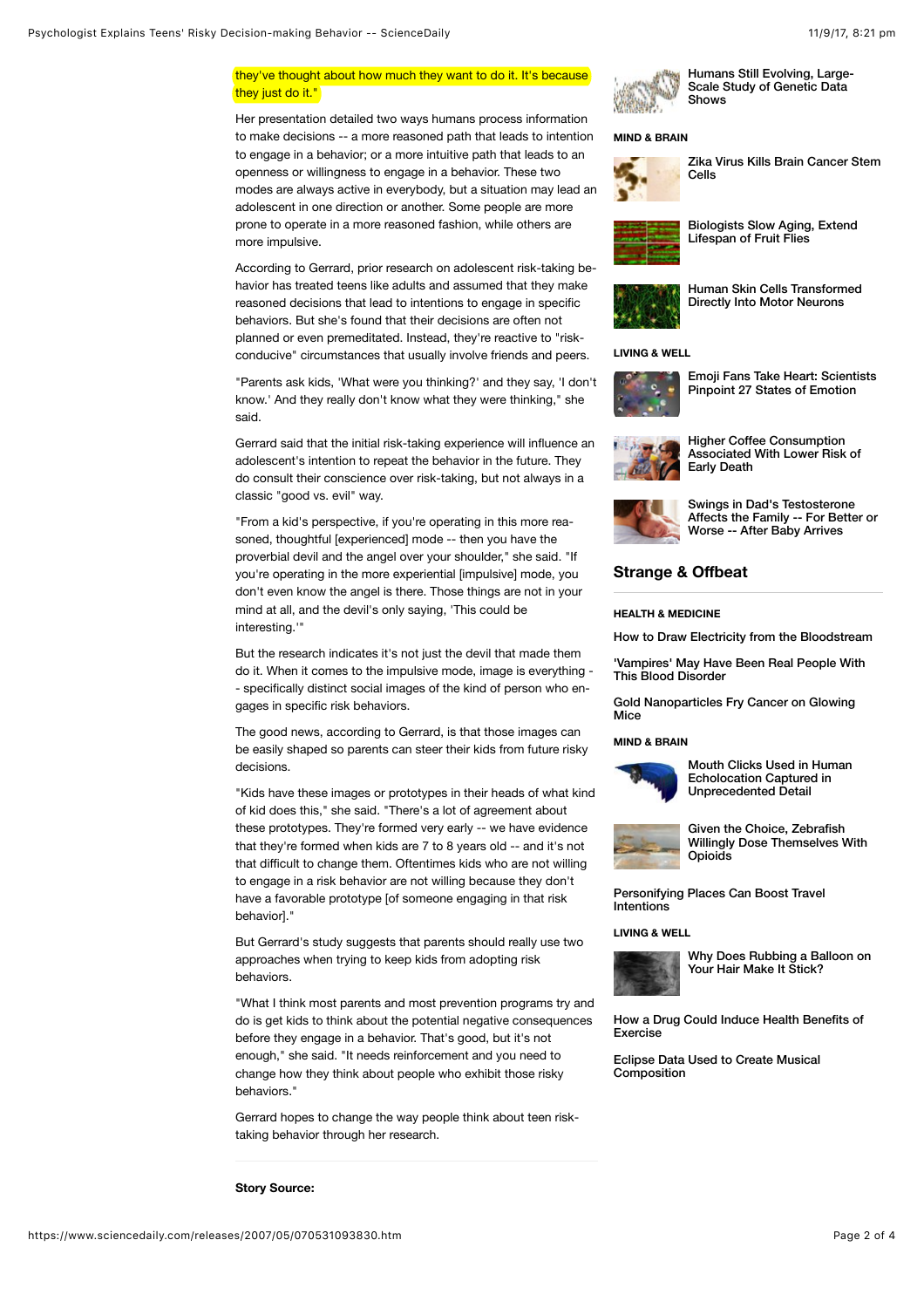### they've thought about how much they want to do it. It's because they just do it."

Her presentation detailed two ways humans process information to make decisions -- a more reasoned path that leads to intention to engage in a behavior; or a more intuitive path that leads to an openness or willingness to engage in a behavior. These two modes are always active in everybody, but a situation may lead an adolescent in one direction or another. Some people are more prone to operate in a more reasoned fashion, while others are more impulsive.

According to Gerrard, prior research on adolescent risk-taking be‐ havior has treated teens like adults and assumed that they make reasoned decisions that lead to intentions to engage in specific behaviors. But she's found that their decisions are often not planned or even premeditated. Instead, they're reactive to "riskconducive" circumstances that usually involve friends and peers.

"Parents ask kids, 'What were you thinking?' and they say, 'I don't know.' And they really don't know what they were thinking," she said.

Gerrard said that the initial risk-taking experience will influence an adolescent's intention to repeat the behavior in the future. They do consult their conscience over risk-taking, but not always in a classic "good vs. evil" way.

"From a kid's perspective, if you're operating in this more rea‐ soned, thoughtful [experienced] mode -- then you have the proverbial devil and the angel over your shoulder," she said. "If you're operating in the more experiential [impulsive] mode, you don't even know the angel is there. Those things are not in your mind at all, and the devil's only saying, 'This could be interesting.'"

But the research indicates it's not just the devil that made them do it. When it comes to the impulsive mode, image is everything - - specifically distinct social images of the kind of person who en‐ gages in specific risk behaviors.

The good news, according to Gerrard, is that those images can be easily shaped so parents can steer their kids from future risky decisions.

"Kids have these images or prototypes in their heads of what kind of kid does this," she said. "There's a lot of agreement about these prototypes. They're formed very early -- we have evidence that they're formed when kids are 7 to 8 years old -- and it's not that difficult to change them. Oftentimes kids who are not willing to engage in a risk behavior are not willing because they don't have a favorable prototype [of someone engaging in that risk **behavior** 

But Gerrard's study suggests that parents should really use two approaches when trying to keep kids from adopting risk behaviors.

"What I think most parents and most prevention programs try and do is get kids to think about the potential negative consequences before they engage in a behavior. That's good, but it's not enough," she said. "It needs reinforcement and you need to change how they think about people who exhibit those risky behaviors."

Gerrard hopes to change the way people think about teen risktaking behavior through her research.



[Humans Still Evolving, Large-](https://www.sciencedaily.com/releases/2017/09/170905145553.htm)Scale Study of Genetic Data Shows

#### **[MIND & BRAIN](https://www.sciencedaily.com/news/mind_brain/)**



[Zika Virus Kills Brain Cancer Stem](https://www.sciencedaily.com/releases/2017/09/170905093623.htm) Cells

[Biologists Slow Aging, Extend](https://www.sciencedaily.com/releases/2017/09/170906103421.htm) Lifespan of Fruit Flies



[Human Skin Cells Transformed](https://www.sciencedaily.com/releases/2017/09/170907132836.htm) Directly Into Motor Neurons

#### **[LIVING & WELL](https://www.sciencedaily.com/news/living_well/)**



[Emoji Fans Take Heart: Scientists](https://www.sciencedaily.com/releases/2017/09/170907093630.htm) Pinpoint 27 States of Emotion



Higher Coffee Consumption [Associated With Lower Risk of](https://www.sciencedaily.com/releases/2017/08/170827101750.htm) Early Death



Swings in Dad's Testosterone [Affects the Family -- For Better or](https://www.sciencedaily.com/releases/2017/09/170905145535.htm) Worse -- After Baby Arrives

### **Strange & Offbeat**

#### **[HEALTH & MEDICINE](https://www.sciencedaily.com/news/strange_offbeat/health_medicine/)**

[How to Draw Electricity from the Bloodstream](https://www.sciencedaily.com/releases/2017/09/170908205453.htm)

['Vampires' May Have Been Real People With](https://www.sciencedaily.com/releases/2017/09/170906144930.htm) This Blood Disorder

[Gold Nanoparticles Fry Cancer on Glowing](https://www.sciencedaily.com/releases/2017/08/170830202133.htm) Mice

#### **[MIND & BRAIN](https://www.sciencedaily.com/news/strange_offbeat/mind_brain/)**



[Mouth Clicks Used in Human](https://www.sciencedaily.com/releases/2017/08/170831141320.htm) Echolocation Captured in Unprecedented Detail



Given the Choice, Zebrafish [Willingly Dose Themselves With](https://www.sciencedaily.com/releases/2017/08/170825140633.htm) **Opioids** 

[Personifying Places Can Boost Travel](https://www.sciencedaily.com/releases/2017/08/170822092243.htm) **Intentions** 

#### **[LIVING & WELL](https://www.sciencedaily.com/news/strange_offbeat/living_well/)**



[Why Does Rubbing a Balloon on](https://www.sciencedaily.com/releases/2017/08/170829135355.htm) Your Hair Make It Stick?

[How a Drug Could Induce Health Benefits of](https://www.sciencedaily.com/releases/2017/08/170824090112.htm) Exercise

[Eclipse Data Used to Create Musical](https://www.sciencedaily.com/releases/2017/08/170821105747.htm) **Composition**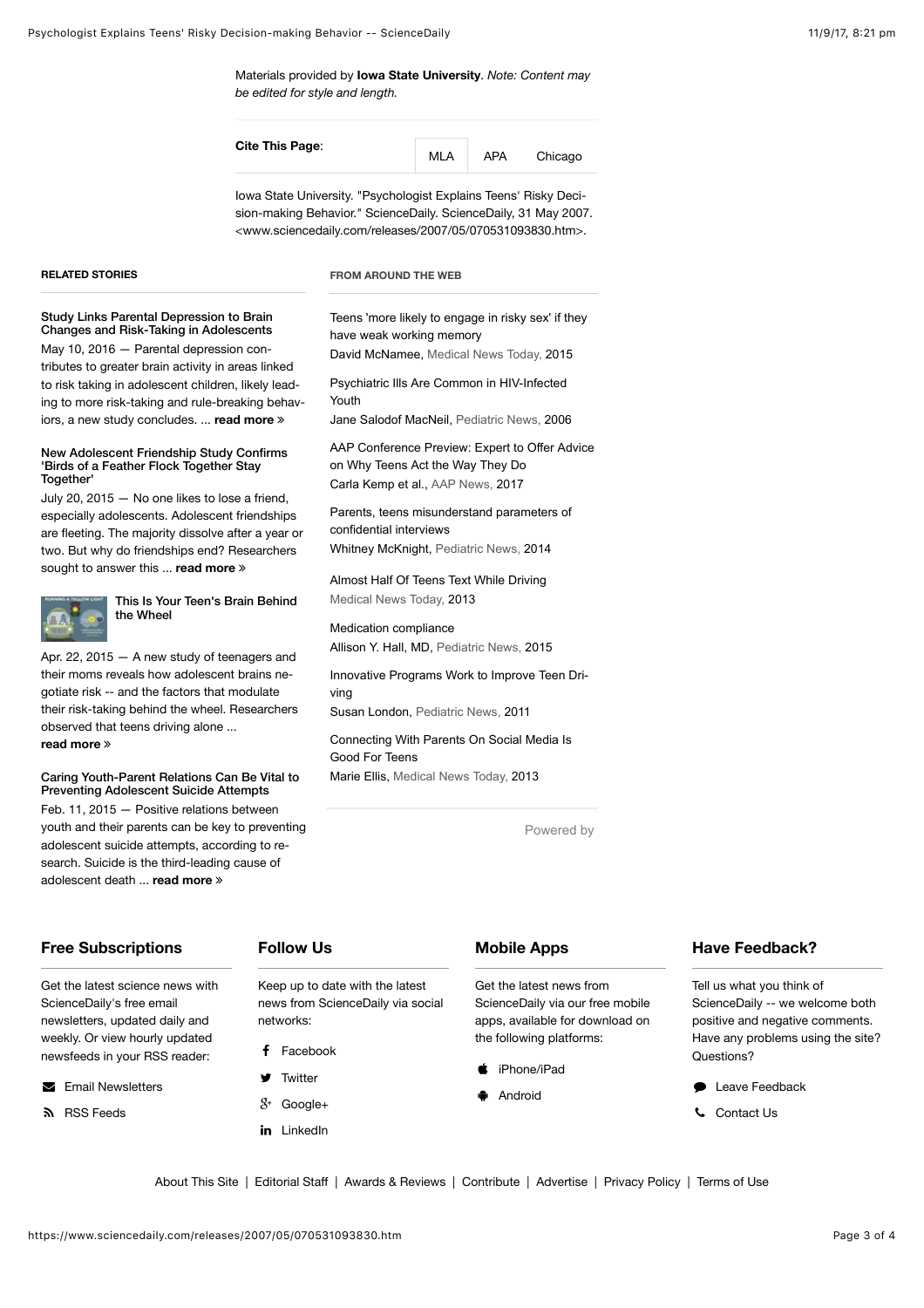[Materials](http://www.newswise.com/articles/view/530456/) provided by **[Iowa State University](http://www.iastate.edu/)**. *Note: Content may be edited for style and length.*

| Cite This Page: | MLA | APA | Chicago |  |
|-----------------|-----|-----|---------|--|
|                 |     |     |         |  |

<span id="page-2-0"></span>Iowa State University. "Psychologist Explains Teens' Risky Deci‐ sion-making Behavior." ScienceDaily. ScienceDaily, 31 May 2007. <www.sciencedaily.com/releases/2007/05/070531093830.htm>.

#### **RELATED STORIES**

**Together** 

**[read more](https://www.sciencedaily.com/releases/2015/04/150422122029.htm)** ∠

[Study Links Parental Depression to Brain](https://www.sciencedaily.com/releases/2016/05/160510213333.htm) Changes and Risk-Taking in Adolescents May 10, 2016 - Parental depression contributes to greater brain activity in areas linked to risk taking in adolescent children, likely lead‐ ing to more risk-taking and rule-breaking behav‐ iors, a new study concludes. ... **[read more](https://www.sciencedaily.com/releases/2016/05/160510213333.htm)** ∠

[New Adolescent Friendship Study Confirms](https://www.sciencedaily.com/releases/2015/07/150720110618.htm) 'Birds of a Feather Flock Together Stay

July 20, 2015 — No one likes to lose a friend, especially adolescents. Adolescent friendships are fleeting. The majority dissolve after a year or two. But why do friendships end? Researchers

[This Is Your Teen's Brain Behind](https://www.sciencedaily.com/releases/2015/04/150422122029.htm)

sought to answer this ... **[read more](https://www.sciencedaily.com/releases/2015/07/150720110618.htm)** ≫

the Wheel

observed that teens driving alone ...

Apr. 22, 2015 — A new study of teenagers and their moms reveals how adolescent brains ne‐ gotiate risk -- and the factors that modulate their risk-taking behind the wheel. Researchers

[Caring Youth-Parent Relations Can Be Vital to](https://www.sciencedaily.com/releases/2015/02/150211132103.htm) Preventing Adolescent Suicide Attempts Feb. 11, 2015 — Positive relations between youth and their parents can be key to preventing adolescent suicide attempts, according to re‐ search. Suicide is the third-leading cause of

#### **FROM AROUND THE WEB**

[Teens 'more likely to engage in risky sex' if they](http://www.medicalnewstoday.com/articles/295536.php?utm_source=TrendMD&utm_medium=cpc&utm_campaign=Medical_News_Today_TrendMD_1) have weak working memory

David McNamee, Medical News Today, 2015

[Psychiatric Ills Are Common in HIV-Infected](http://www.mdedge.com/pediatricnews/article/39183/infectious-diseases/psychiatric-ills-are-common-hiv-infected-youth?utm_source=TrendMD&utm_medium=TrendMD&utm_campaign=TrendMD_1_Pediatric_News) Youth

Jane Salodof MacNeil, Pediatric News, 2006

[AAP Conference Preview: Expert to Offer Advice](http://www.aappublications.org/news/2017/08/09/NCEWildTeens080917?utm_source=TrendMD&utm_medium=TrendMD&utm_campaign=AAPNews_TrendMD_1) on Why Teens Act the Way They Do Carla Kemp et al., AAP News, 2017

[Parents, teens misunderstand parameters of](http://www.mdedge.com/pediatricnews/article/82260/pediatrics/parents-teens-misunderstand-parameters-confidential?utm_source=TrendMD&utm_medium=TrendMD&utm_campaign=TrendMD_1_Pediatric_News) confidential interviews Whitney McKnight, Pediatric News, 2014

[Almost Half Of Teens Text While Driving](http://www.medicalnewstoday.com/articles/260472.php?utm_source=TrendMD&utm_medium=cpc&utm_campaign=Medical_News_Today_TrendMD_1) Medical News Today, 2013

[Medication compliance](http://www.mdedge.com/pediatricnews/article/98817/pediatrics/medication-compliance?utm_source=TrendMD&utm_medium=TrendMD&utm_campaign=TrendMD_1_Pediatric_News) Allison Y. Hall, MD, Pediatric News, 2015

[Innovative Programs Work to Improve Teen Dri](http://www.mdedge.com/pediatricnews/article/40801/adolescent-medicine/innovative-programs-work-improve-teen-driving?utm_source=TrendMD&utm_medium=TrendMD&utm_campaign=TrendMD_1_Pediatric_News)ving

Susan London, Pediatric News, 2011

[Connecting With Parents On Social Media Is](http://www.medicalnewstoday.com/articles/263429.php?utm_source=TrendMD&utm_medium=cpc&utm_campaign=Medical_News_Today_TrendMD_1) Good For Teens

Marie Ellis, Medical News Today, 2013

[Powered by](https://www.trendmd.com/how-it-works-readers) 

### **Free Subscriptions**

Get the latest science news with ScienceDaily's free email newsletters, updated daily and weekly. Or view hourly updated newsfeeds in your RSS reader:

adolescent death ... **[read more](https://www.sciencedaily.com/releases/2015/02/150211132103.htm)** ∠

 $\blacktriangleright$  [Email Newsletters](https://www.sciencedaily.com/newsletters.htm)

**S** [RSS Feeds](https://www.sciencedaily.com/newsfeeds.htm)

### **Follow Us**

Keep up to date with the latest news from ScienceDaily via social networks:

- f [Facebook](https://www.facebook.com/sciencedaily)
- **[Twitter](https://twitter.com/sciencedaily)**
- $X^+$  [Google+](https://plus.google.com/+sciencedaily)
- in [LinkedIn](https://www.linkedin.com/company/sciencedaily)

### **Mobile Apps**

Get the latest news from ScienceDaily via our free mobile apps, available for download on the following platforms:

- [iPhone/iPad](https://itunes.apple.com/us/app/sciencedaily-for-iphone/id719769502?mt=8)
- **[Android](https://play.google.com/store/apps/details?id=com.sciencedaily.sciencedaily&hl=en)**

### **Have Feedback?**

Tell us what you think of ScienceDaily -- we welcome both positive and negative comments. Have any problems using the site? Questions?

- **[Leave Feedback](https://sciencedaily.wufoo.com/forms/sciencedaily-feedback/)**
- / [Contact Us](https://www.sciencedaily.com/contact.htm)

[About This Site](https://www.sciencedaily.com/about.htm) | [Editorial Sta](https://www.sciencedaily.com/staff.htm)ff | [Awards & Reviews](https://www.sciencedaily.com/awards.htm) | [Contribute](https://www.sciencedaily.com/contribute.htm) | [Advertise](https://www.sciencedaily.com/advertise.htm) | [Privacy Policy](https://www.sciencedaily.com/privacy.htm) | [Terms of Use](https://www.sciencedaily.com/terms.htm)